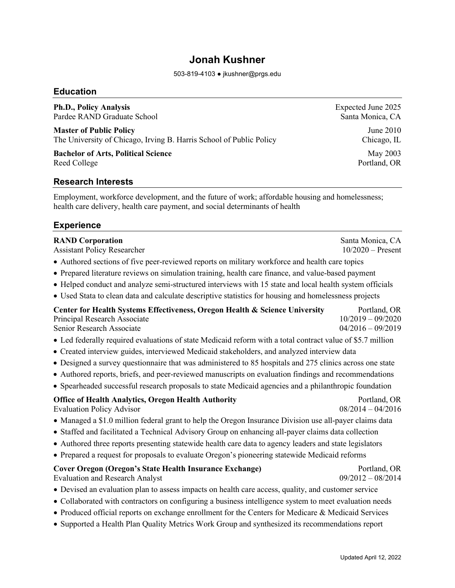# **Jonah Kushner**

503-819-4103 ● jkushner@prgs.edu

#### **Education**

**Ph.D., Policy Analysis** Expected June 2025 Pardee RAND Graduate School Santa Monica, CA

**Master of Public Policy** June 2010 The University of Chicago, Irving B. Harris School of Public Policy Chicago, IL

**Bachelor of Arts, Political Science** May 2003 Reed College Portland, OR

#### **Research Interests**

Employment, workforce development, and the future of work; affordable housing and homelessness; health care delivery, health care payment, and social determinants of health

# **Experience**

| <b>RAND Corporation</b><br><b>Assistant Policy Researcher</b>                                                                            | Santa Monica, CA<br>$10/2020$ – Present                    |
|------------------------------------------------------------------------------------------------------------------------------------------|------------------------------------------------------------|
| • Authored sections of five peer-reviewed reports on military workforce and health care topics                                           |                                                            |
| • Prepared literature reviews on simulation training, health care finance, and value-based payment                                       |                                                            |
| • Helped conduct and analyze semi-structured interviews with 15 state and local health system officials                                  |                                                            |
| • Used Stata to clean data and calculate descriptive statistics for housing and homelessness projects                                    |                                                            |
| Center for Health Systems Effectiveness, Oregon Health & Science University<br>Principal Research Associate<br>Senior Research Associate | Portland, OR<br>$10/2019 - 09/2020$<br>$04/2016 - 09/2019$ |
| • Led federally required evaluations of state Medicaid reform with a total contract value of \$5.7 million                               |                                                            |
| • Created interview guides, interviewed Medicaid stakeholders, and analyzed interview data                                               |                                                            |
| • Designed a survey questionnaire that was administered to 85 hospitals and 275 clinics across one state                                 |                                                            |
| • Authored reports, briefs, and peer-reviewed manuscripts on evaluation findings and recommendations                                     |                                                            |
| • Spearheaded successful research proposals to state Medicaid agencies and a philanthropic foundation                                    |                                                            |
| <b>Office of Health Analytics, Oregon Health Authority</b><br><b>Evaluation Policy Advisor</b>                                           | Portland, OR<br>$08/2014 - 04/2016$                        |
| • Managed a \$1.0 million federal grant to help the Oregon Insurance Division use all-payer claims data                                  |                                                            |
| • Staffed and facilitated a Technical Advisory Group on enhancing all-payer claims data collection                                       |                                                            |
| • Authored three reports presenting statewide health care data to agency leaders and state legislators                                   |                                                            |
| • Prepared a request for proposals to evaluate Oregon's pioneering statewide Medicaid reforms                                            |                                                            |
| <b>Cover Oregon (Oregon's State Health Insurance Exchange)</b><br><b>Evaluation and Research Analyst</b>                                 | Portland, OR<br>$09/2012 - 08/2014$                        |
| • Devised an evaluation plan to assess impacts on health care access, quality, and customer service                                      |                                                            |

- Collaborated with contractors on configuring a business intelligence system to meet evaluation needs
- Produced official reports on exchange enrollment for the Centers for Medicare & Medicaid Services
- Supported a Health Plan Quality Metrics Work Group and synthesized its recommendations report